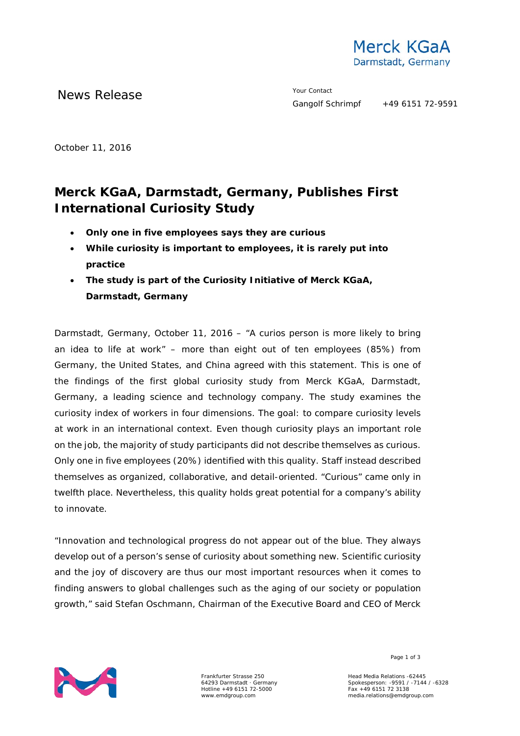

News Release The Contact Terms of the Metal School and The Vour Contact

October 11, 2016

## **Merck KGaA, Darmstadt, Germany, Publishes First International Curiosity Study**

- **Only one in five employees says they are curious**
- **While curiosity is important to employees, it is rarely put into practice**
- **The study is part of the Curiosity Initiative of Merck KGaA, Darmstadt, Germany**

Darmstadt, Germany, October 11, 2016 – "A curios person is more likely to bring an idea to life at work" – more than eight out of ten employees (85%) from Germany, the United States, and China agreed with this statement. This is one of the findings of the first global curiosity study from Merck KGaA, Darmstadt, Germany, a leading science and technology company. The study examines the curiosity index of workers in four dimensions. The goal: to compare curiosity levels at work in an international context. Even though curiosity plays an important role on the job, the majority of study participants did not describe themselves as curious. Only one in five employees (20%) identified with this quality. Staff instead described themselves as organized, collaborative, and detail-oriented. "Curious" came only in twelfth place. Nevertheless, this quality holds great potential for a company's ability to innovate.

"Innovation and technological progress do not appear out of the blue. They always develop out of a person's sense of curiosity about something new. Scientific curiosity and the joy of discovery are thus our most important resources when it comes to finding answers to global challenges such as the aging of our society or population growth," said Stefan Oschmann, Chairman of the Executive Board and CEO of Merck



Frankfurter Strasse 250 64293 Darmstadt · Germany Hotline +49 6151 72-5000 www.emdgroup.com

Page 1 of 3

Head Media Relations -62445 Spokesperson: -9591 / -7144 / -6328 Fax +49 6151 72 3138 media.relations@emdgroup.com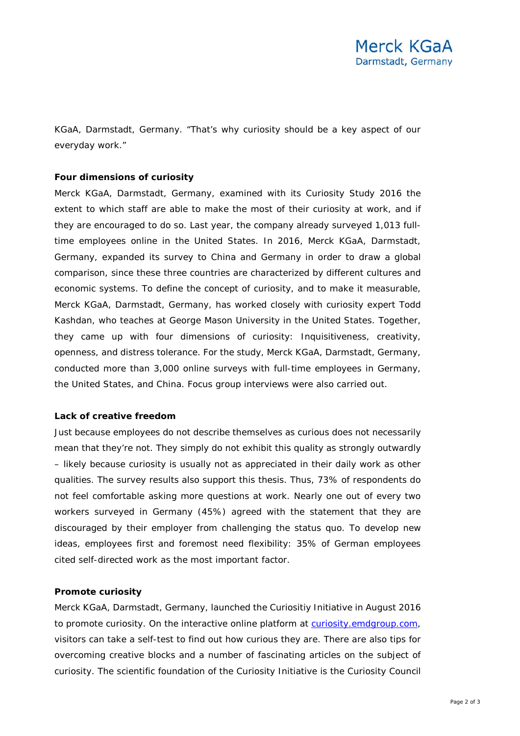KGaA, Darmstadt, Germany. "That's why curiosity should be a key aspect of our everyday work."

## **Four dimensions of curiosity**

Merck KGaA, Darmstadt, Germany, examined with its Curiosity Study 2016 the extent to which staff are able to make the most of their curiosity at work, and if they are encouraged to do so. Last year, the company already surveyed 1,013 fulltime employees online in the United States. In 2016, Merck KGaA, Darmstadt, Germany, expanded its survey to China and Germany in order to draw a global comparison, since these three countries are characterized by different cultures and economic systems. To define the concept of curiosity, and to make it measurable, Merck KGaA, Darmstadt, Germany, has worked closely with curiosity expert Todd Kashdan, who teaches at George Mason University in the United States. Together, they came up with four dimensions of curiosity: Inquisitiveness, creativity, openness, and distress tolerance. For the study, Merck KGaA, Darmstadt, Germany, conducted more than 3,000 online surveys with full-time employees in Germany, the United States, and China. Focus group interviews were also carried out.

## **Lack of creative freedom**

Just because employees do not describe themselves as curious does not necessarily mean that they're not. They simply do not exhibit this quality as strongly outwardly – likely because curiosity is usually not as appreciated in their daily work as other qualities. The survey results also support this thesis. Thus, 73% of respondents do not feel comfortable asking more questions at work. Nearly one out of every two workers surveyed in Germany (45%) agreed with the statement that they are discouraged by their employer from challenging the status quo. To develop new ideas, employees first and foremost need flexibility: 35% of German employees cited self-directed work as the most important factor.

## **Promote curiosity**

Merck KGaA, Darmstadt, Germany, launched the Curiositiy Initiative in August 2016 to promote curiosity. On the interactive online platform at [curiosity.emdgroup.com,](https://curiosity.emdgroup.com/) visitors can take a self-test to find out how curious they are. There are also tips for overcoming creative blocks and a number of fascinating articles on the subject of curiosity. The scientific foundation of the Curiosity Initiative is the Curiosity Council